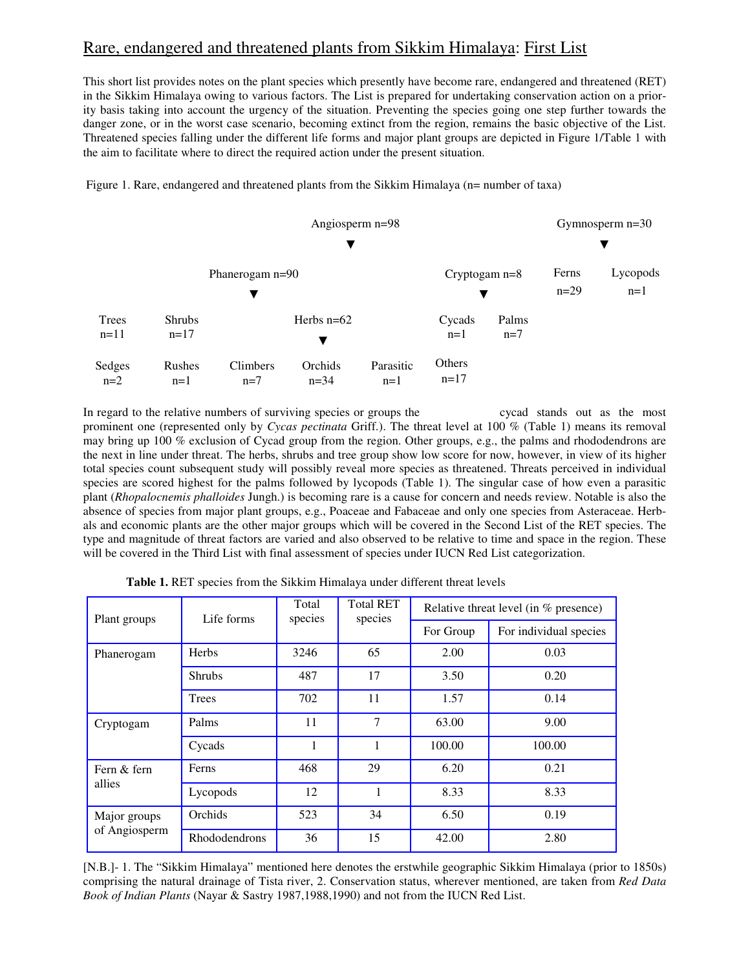# Rare, endangered and threatened plants from Sikkim Himalaya: First List

This short list provides notes on the plant species which presently have become rare, endangered and threatened (RET) in the Sikkim Himalaya owing to various factors. The List is prepared for undertaking conservation action on a priority basis taking into account the urgency of the situation. Preventing the species going one step further towards the danger zone, or in the worst case scenario, becoming extinct from the region, remains the basic objective of the List. Threatened species falling under the different life forms and major plant groups are depicted in Figure 1/Table 1 with the aim to facilitate where to direct the required action under the present situation.

Figure 1. Rare, endangered and threatened plants from the Sikkim Himalaya (n= number of taxa)



In regard to the relative numbers of surviving species or groups the cycad stands out as the most prominent one (represented only by *Cycas pectinata* Griff.). The threat level at 100 % (Table 1) means its removal may bring up 100 % exclusion of Cycad group from the region. Other groups, e.g., the palms and rhododendrons are the next in line under threat. The herbs, shrubs and tree group show low score for now, however, in view of its higher total species count subsequent study will possibly reveal more species as threatened. Threats perceived in individual species are scored highest for the palms followed by lycopods (Table 1). The singular case of how even a parasitic plant (*Rhopalocnemis phalloides* Jungh.) is becoming rare is a cause for concern and needs review. Notable is also the absence of species from major plant groups, e.g., Poaceae and Fabaceae and only one species from Asteraceae. Herbals and economic plants are the other major groups which will be covered in the Second List of the RET species. The type and magnitude of threat factors are varied and also observed to be relative to time and space in the region. These will be covered in the Third List with final assessment of species under IUCN Red List categorization.

| Plant groups                  | Life forms    | Total<br>species | <b>Total RET</b><br>species | Relative threat level (in % presence) |                        |
|-------------------------------|---------------|------------------|-----------------------------|---------------------------------------|------------------------|
|                               |               |                  |                             | For Group                             | For individual species |
| Phanerogam                    | <b>Herbs</b>  | 3246             | 65                          | 2.00                                  | 0.03                   |
|                               | <b>Shrubs</b> | 487              | 17                          | 3.50                                  | 0.20                   |
|                               | <b>Trees</b>  | 702              | 11                          | 1.57                                  | 0.14                   |
| Cryptogam                     | Palms         | 11               | 7                           | 63.00                                 | 9.00                   |
|                               | Cycads        |                  |                             | 100.00                                | 100.00                 |
| Fern & fern<br>allies         | Ferns         | 468              | 29                          | 6.20                                  | 0.21                   |
|                               | Lycopods      | 12               |                             | 8.33                                  | 8.33                   |
| Major groups<br>of Angiosperm | Orchids       | 523              | 34                          | 6.50                                  | 0.19                   |
|                               | Rhododendrons | 36               | 15                          | 42.00                                 | 2.80                   |

 **Table 1.** RET species from the Sikkim Himalaya under different threat levels

[N.B.]- 1. The "Sikkim Himalaya" mentioned here denotes the erstwhile geographic Sikkim Himalaya (prior to 1850s) comprising the natural drainage of Tista river, 2. Conservation status, wherever mentioned, are taken from *Red Data Book of Indian Plants* (Nayar & Sastry 1987,1988,1990) and not from the IUCN Red List.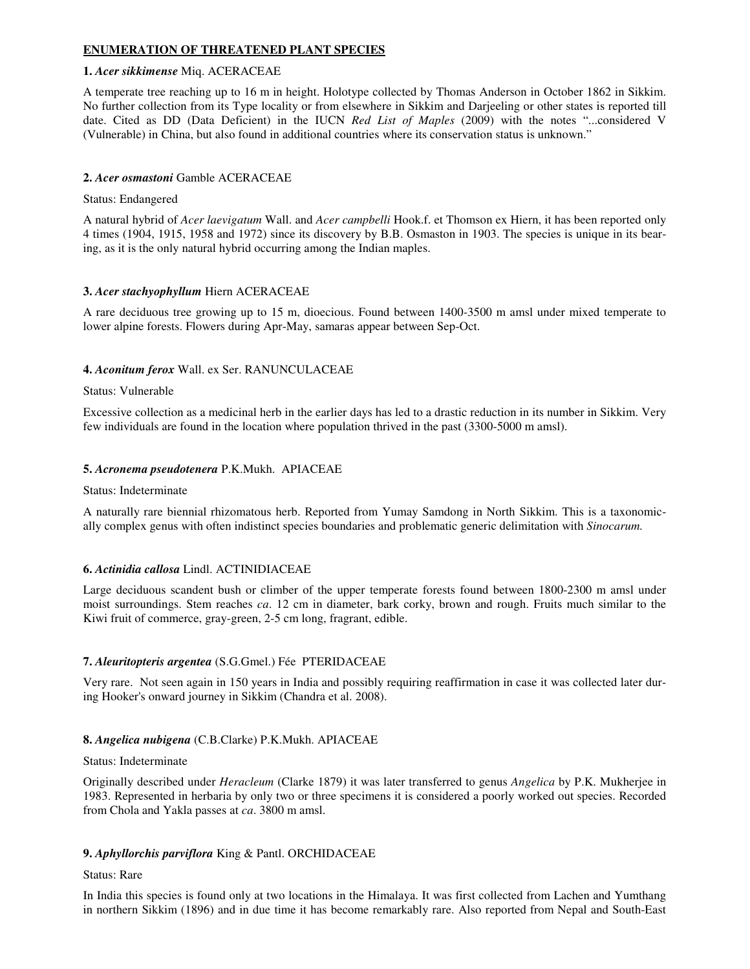# **ENUMERATION OF THREATENED PLANT SPECIES**

### **1.** *Acer sikkimense* Miq. ACERACEAE

A temperate tree reaching up to 16 m in height. Holotype collected by Thomas Anderson in October 1862 in Sikkim. No further collection from its Type locality or from elsewhere in Sikkim and Darjeeling or other states is reported till date. Cited as DD (Data Deficient) in the IUCN *Red List of Maples* (2009) with the notes "...considered V (Vulnerable) in China, but also found in additional countries where its conservation status is unknown."

### **2.** *Acer osmastoni* Gamble ACERACEAE

### Status: Endangered

A natural hybrid of *Acer laevigatum* Wall. and *Acer campbelli* Hook.f. et Thomson ex Hiern, it has been reported only 4 times (1904, 1915, 1958 and 1972) since its discovery by B.B. Osmaston in 1903. The species is unique in its bearing, as it is the only natural hybrid occurring among the Indian maples.

### **3.** *Acer stachyophyllum* Hiern ACERACEAE

A rare deciduous tree growing up to 15 m, dioecious. Found between 1400-3500 m amsl under mixed temperate to lower alpine forests. Flowers during Apr-May, samaras appear between Sep-Oct.

### **4.** *Aconitum ferox* Wall. ex Ser. RANUNCULACEAE

### Status: Vulnerable

Excessive collection as a medicinal herb in the earlier days has led to a drastic reduction in its number in Sikkim. Very few individuals are found in the location where population thrived in the past (3300-5000 m amsl).

### **5.** *Acronema pseudotenera* P.K.Mukh. APIACEAE

#### Status: Indeterminate

A naturally rare biennial rhizomatous herb. Reported from Yumay Samdong in North Sikkim. This is a taxonomically complex genus with often indistinct species boundaries and problematic generic delimitation with *Sinocarum.*

# **6.** *Actinidia callosa* Lindl. ACTINIDIACEAE

Large deciduous scandent bush or climber of the upper temperate forests found between 1800-2300 m amsl under moist surroundings. Stem reaches *ca*. 12 cm in diameter, bark corky, brown and rough. Fruits much similar to the Kiwi fruit of commerce, gray-green, 2-5 cm long, fragrant, edible.

# **7.** *Aleuritopteris argentea* (S.G.Gmel.) Fée PTERIDACEAE

Very rare. Not seen again in 150 years in India and possibly requiring reaffirmation in case it was collected later during Hooker's onward journey in Sikkim (Chandra et al. 2008).

# **8.** *Angelica nubigena* (C.B.Clarke) P.K.Mukh. APIACEAE

#### Status: Indeterminate

Originally described under *Heracleum* (Clarke 1879) it was later transferred to genus *Angelica* by P.K. Mukherjee in 1983. Represented in herbaria by only two or three specimens it is considered a poorly worked out species. Recorded from Chola and Yakla passes at *ca*. 3800 m amsl.

# **9.** *Aphyllorchis parviflora* King & Pantl. ORCHIDACEAE

#### Status: Rare

In India this species is found only at two locations in the Himalaya. It was first collected from Lachen and Yumthang in northern Sikkim (1896) and in due time it has become remarkably rare. Also reported from Nepal and South-East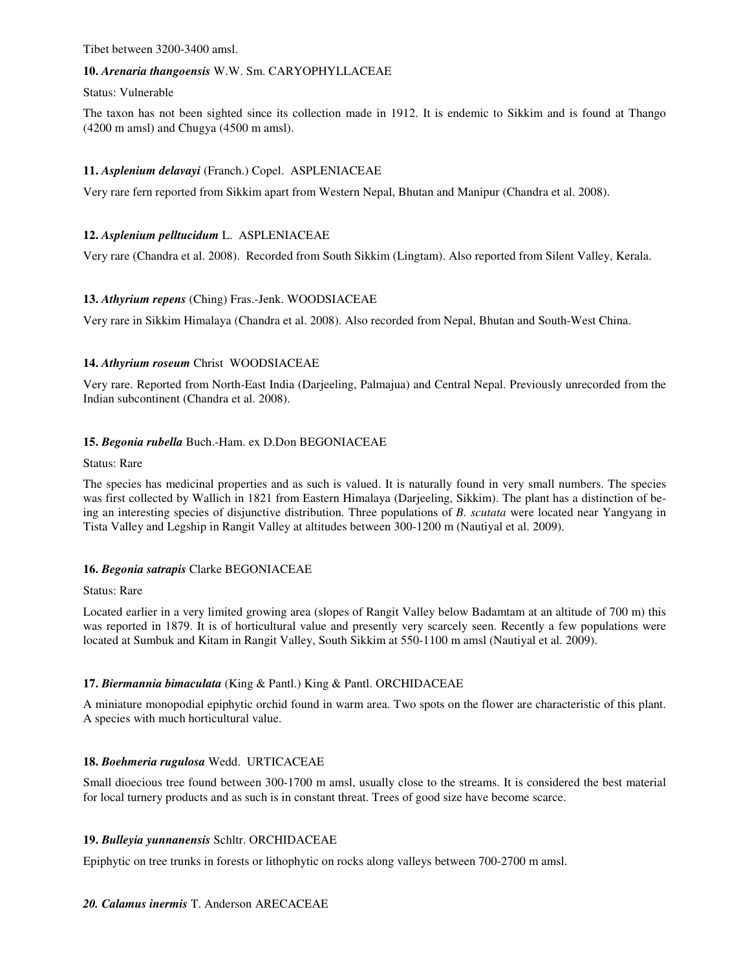Tibet between 3200-3400 amsl.

### **10.** *Arenaria thangoensis* W.W. Sm. CARYOPHYLLACEAE

#### Status: Vulnerable

The taxon has not been sighted since its collection made in 1912. It is endemic to Sikkim and is found at Thango (4200 m amsl) and Chugya (4500 m amsl).

# **11.** *Asplenium delavayi* (Franch.) Copel. ASPLENIACEAE

Very rare fern reported from Sikkim apart from Western Nepal, Bhutan and Manipur (Chandra et al. 2008).

# **12.** *Asplenium pelltucidum* L. ASPLENIACEAE

Very rare (Chandra et al. 2008). Recorded from South Sikkim (Lingtam). Also reported from Silent Valley, Kerala.

# **13.** *Athyrium repens* (Ching) Fras.-Jenk. WOODSIACEAE

Very rare in Sikkim Himalaya (Chandra et al. 2008). Also recorded from Nepal, Bhutan and South-West China.

# **14.** *Athyrium roseum* Christ WOODSIACEAE

Very rare. Reported from North-East India (Darjeeling, Palmajua) and Central Nepal. Previously unrecorded from the Indian subcontinent (Chandra et al. 2008).

# **15.** *Begonia rubella* Buch.-Ham. ex D.Don BEGONIACEAE

### Status: Rare

The species has medicinal properties and as such is valued. It is naturally found in very small numbers. The species was first collected by Wallich in 1821 from Eastern Himalaya (Darjeeling, Sikkim). The plant has a distinction of being an interesting species of disjunctive distribution. Three populations of *B. scutata* were located near Yangyang in Tista Valley and Legship in Rangit Valley at altitudes between 300-1200 m (Nautiyal et al. 2009).

# **16.** *Begonia satrapis* Clarke BEGONIACEAE

#### Status: Rare

Located earlier in a very limited growing area (slopes of Rangit Valley below Badamtam at an altitude of 700 m) this was reported in 1879. It is of horticultural value and presently very scarcely seen. Recently a few populations were located at Sumbuk and Kitam in Rangit Valley, South Sikkim at 550-1100 m amsl (Nautiyal et al. 2009).

# **17.** *Biermannia bimaculata* (King & Pantl.) King & Pantl. ORCHIDACEAE

A miniature monopodial epiphytic orchid found in warm area. Two spots on the flower are characteristic of this plant. A species with much horticultural value.

# **18.** *Boehmeria rugulosa* Wedd. URTICACEAE

Small dioecious tree found between 300-1700 m amsl, usually close to the streams. It is considered the best material for local turnery products and as such is in constant threat. Trees of good size have become scarce.

# **19.** *Bulleyia yunnanensis* Schltr. ORCHIDACEAE

Epiphytic on tree trunks in forests or lithophytic on rocks along valleys between 700-2700 m amsl.

# *20. Calamus inermis* T. Anderson ARECACEAE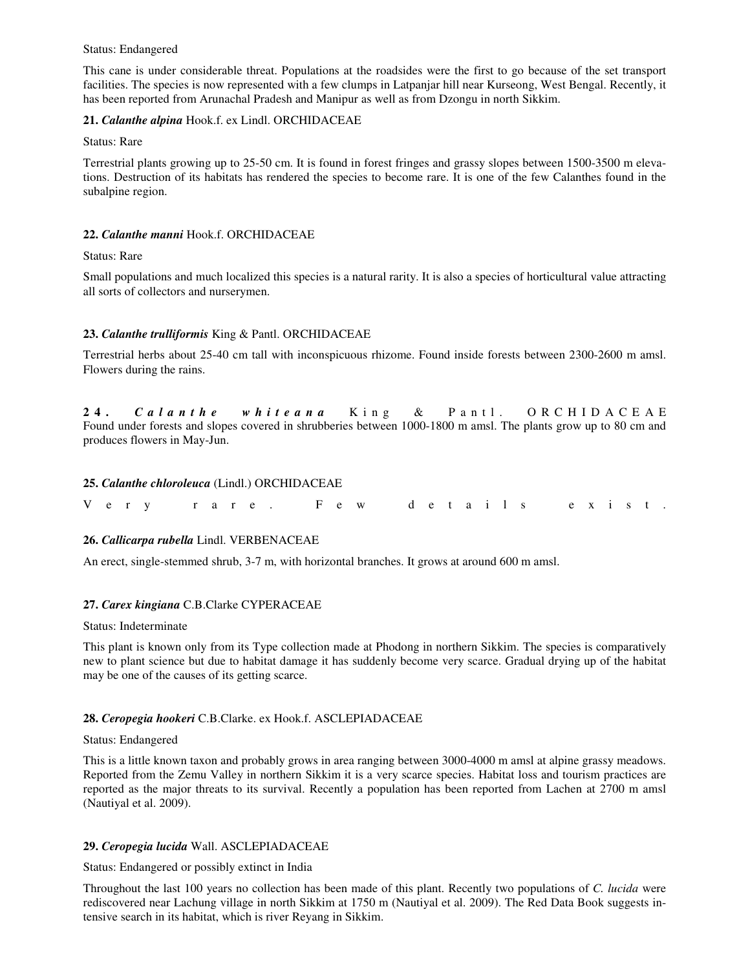#### Status: Endangered

This cane is under considerable threat. Populations at the roadsides were the first to go because of the set transport facilities. The species is now represented with a few clumps in Latpanjar hill near Kurseong, West Bengal. Recently, it has been reported from Arunachal Pradesh and Manipur as well as from Dzongu in north Sikkim.

### **21.** *Calanthe alpina* Hook.f. ex Lindl. ORCHIDACEAE

Status: Rare

Terrestrial plants growing up to 25-50 cm. It is found in forest fringes and grassy slopes between 1500-3500 m elevations. Destruction of its habitats has rendered the species to become rare. It is one of the few Calanthes found in the subalpine region.

#### **22.** *Calanthe manni* Hook.f. ORCHIDACEAE

Status: Rare

Small populations and much localized this species is a natural rarity. It is also a species of horticultural value attracting all sorts of collectors and nurserymen.

### **23.** *Calanthe trulliformis* King & Pantl. ORCHIDACEAE

Terrestrial herbs about 25-40 cm tall with inconspicuous rhizome. Found inside forests between 2300-2600 m amsl. Flowers during the rains.

**2 4 .** *C a l a n t h e w h i t e a n a* K i n g & P a n t l . O R C H I D A C E A E Found under forests and slopes covered in shrubberies between 1000-1800 m amsl. The plants grow up to 80 cm and produces flowers in May-Jun.

### **25.** *Calanthe chloroleuca* (Lindl.) ORCHIDACEAE

| Very rare. Few details exist. |  |
|-------------------------------|--|
|-------------------------------|--|

#### **26.** *Callicarpa rubella* Lindl. VERBENACEAE

An erect, single-stemmed shrub, 3-7 m, with horizontal branches. It grows at around 600 m amsl.

#### **27.** *Carex kingiana* C.B.Clarke CYPERACEAE

Status: Indeterminate

This plant is known only from its Type collection made at Phodong in northern Sikkim. The species is comparatively new to plant science but due to habitat damage it has suddenly become very scarce. Gradual drying up of the habitat may be one of the causes of its getting scarce.

#### **28.** *Ceropegia hookeri* C.B.Clarke. ex Hook.f. ASCLEPIADACEAE

#### Status: Endangered

This is a little known taxon and probably grows in area ranging between 3000-4000 m amsl at alpine grassy meadows. Reported from the Zemu Valley in northern Sikkim it is a very scarce species. Habitat loss and tourism practices are reported as the major threats to its survival. Recently a population has been reported from Lachen at 2700 m amsl (Nautiyal et al. 2009).

#### **29.** *Ceropegia lucida* Wall. ASCLEPIADACEAE

Status: Endangered or possibly extinct in India

Throughout the last 100 years no collection has been made of this plant. Recently two populations of *C. lucida* were rediscovered near Lachung village in north Sikkim at 1750 m (Nautiyal et al. 2009). The Red Data Book suggests intensive search in its habitat, which is river Reyang in Sikkim.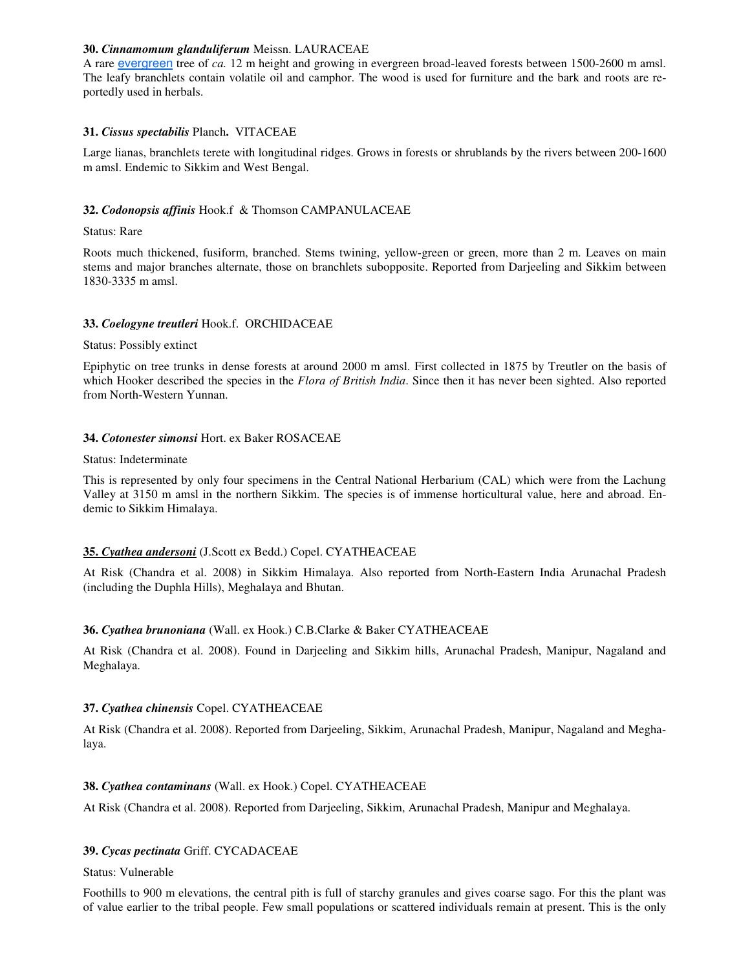### **30.** *Cinnamomum glanduliferum* Meissn. LAURACEAE

A rare evergreen tree of *ca.* 12 m height and growing in evergreen broad-leaved forests between 1500-2600 m amsl. The leafy branchlets contain volatile oil and camphor. The wood is used for furniture and the bark and roots are reportedly used in herbals.

# **31.** *Cissus spectabilis* Planch**.**VITACEAE

Large lianas, branchlets terete with longitudinal ridges. Grows in forests or shrublands by the rivers between 200-1600 m amsl. Endemic to Sikkim and West Bengal.

# **32.** *Codonopsis affinis* Hook.f & Thomson CAMPANULACEAE

### Status: Rare

Roots much thickened, fusiform, branched. Stems twining, yellow-green or green, more than 2 m. Leaves on main stems and major branches alternate, those on branchlets subopposite. Reported from Darjeeling and Sikkim between 1830-3335 m amsl.

# **33.** *Coelogyne treutleri* Hook.f. ORCHIDACEAE

### Status: Possibly extinct

Epiphytic on tree trunks in dense forests at around 2000 m amsl. First collected in 1875 by Treutler on the basis of which Hooker described the species in the *Flora of British India*. Since then it has never been sighted. Also reported from North-Western Yunnan.

### **34.** *Cotonester simonsi* Hort. ex Baker ROSACEAE

#### Status: Indeterminate

This is represented by only four specimens in the Central National Herbarium (CAL) which were from the Lachung Valley at 3150 m amsl in the northern Sikkim. The species is of immense horticultural value, here and abroad. Endemic to Sikkim Himalaya.

# **35.** *Cyathea andersoni* (J.Scott ex Bedd.) Copel. CYATHEACEAE

At Risk (Chandra et al. 2008) in Sikkim Himalaya. Also reported from North-Eastern India Arunachal Pradesh (including the Duphla Hills), Meghalaya and Bhutan.

# **36.** *Cyathea brunoniana* (Wall. ex Hook.) C.B.Clarke & Baker CYATHEACEAE

At Risk (Chandra et al. 2008). Found in Darjeeling and Sikkim hills, Arunachal Pradesh, Manipur, Nagaland and Meghalaya.

# **37.** *Cyathea chinensis* Copel. CYATHEACEAE

At Risk (Chandra et al. 2008). Reported from Darjeeling, Sikkim, Arunachal Pradesh, Manipur, Nagaland and Meghalaya.

# **38.** *Cyathea contaminans* (Wall. ex Hook.) Copel. CYATHEACEAE

At Risk (Chandra et al. 2008). Reported from Darjeeling, Sikkim, Arunachal Pradesh, Manipur and Meghalaya.

# **39.** *Cycas pectinata* Griff. CYCADACEAE

#### Status: Vulnerable

Foothills to 900 m elevations, the central pith is full of starchy granules and gives coarse sago. For this the plant was of value earlier to the tribal people. Few small populations or scattered individuals remain at present. This is the only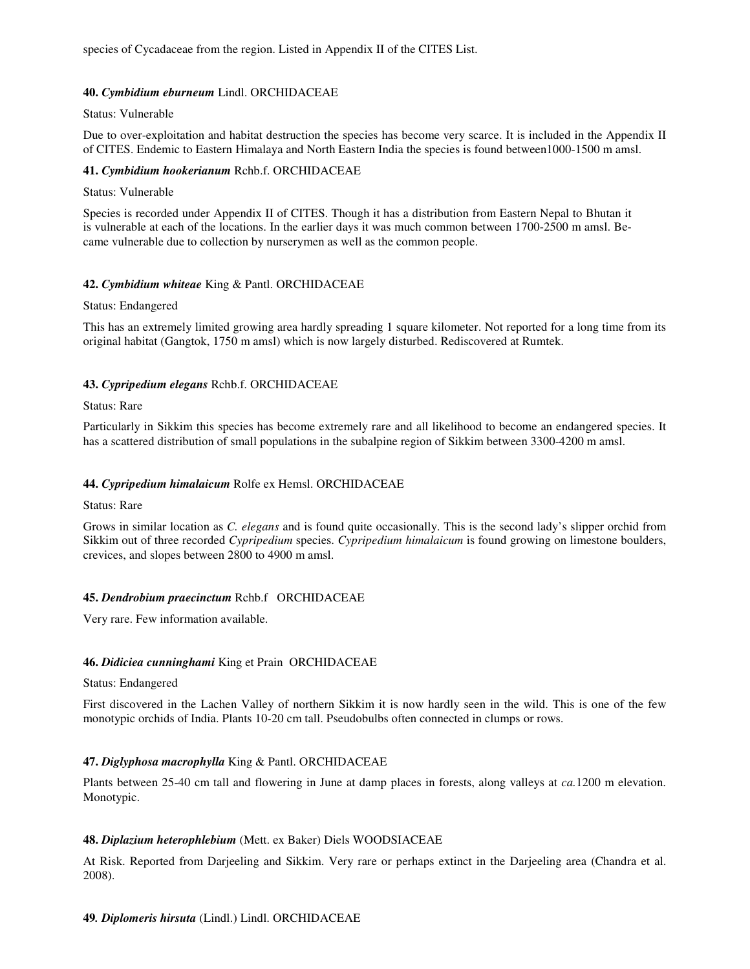species of Cycadaceae from the region. Listed in Appendix II of the CITES List.

### **40.** *Cymbidium eburneum* Lindl. ORCHIDACEAE

### Status: Vulnerable

Due to over-exploitation and habitat destruction the species has become very scarce. It is included in the Appendix II of CITES. Endemic to Eastern Himalaya and North Eastern India the species is found between1000-1500 m amsl.

### **41.** *Cymbidium hookerianum* Rchb.f. ORCHIDACEAE

#### Status: Vulnerable

Species is recorded under Appendix II of CITES. Though it has a distribution from Eastern Nepal to Bhutan it is vulnerable at each of the locations. In the earlier days it was much common between 1700-2500 m amsl. Became vulnerable due to collection by nurserymen as well as the common people.

### **42.** *Cymbidium whiteae* King & Pantl. ORCHIDACEAE

#### Status: Endangered

This has an extremely limited growing area hardly spreading 1 square kilometer. Not reported for a long time from its original habitat (Gangtok, 1750 m amsl) which is now largely disturbed. Rediscovered at Rumtek.

# **43.** *Cypripedium elegans* Rchb.f. ORCHIDACEAE

### Status: Rare

Particularly in Sikkim this species has become extremely rare and all likelihood to become an endangered species. It has a scattered distribution of small populations in the subalpine region of Sikkim between 3300-4200 m amsl.

### **44.** *Cypripedium himalaicum* Rolfe ex Hemsl. ORCHIDACEAE

#### Status: Rare

Grows in similar location as *C. elegans* and is found quite occasionally. This is the second lady's slipper orchid from Sikkim out of three recorded *Cypripedium* species. *Cypripedium himalaicum* is found growing on limestone boulders, crevices, and slopes between 2800 to 4900 m amsl.

# **45.** *Dendrobium praecinctum* Rchb.f ORCHIDACEAE

Very rare. Few information available.

# **46.** *Didiciea cunninghami* King et Prain ORCHIDACEAE

#### Status: Endangered

First discovered in the Lachen Valley of northern Sikkim it is now hardly seen in the wild. This is one of the few monotypic orchids of India. Plants 10-20 cm tall. Pseudobulbs often connected in clumps or rows.

# **47.** *Diglyphosa macrophylla* King & Pantl. ORCHIDACEAE

Plants between 25-40 cm tall and flowering in June at damp places in forests, along valleys at *ca.*1200 m elevation. Monotypic.

# **48.** *Diplazium heterophlebium* (Mett. ex Baker) Diels WOODSIACEAE

At Risk. Reported from Darjeeling and Sikkim. Very rare or perhaps extinct in the Darjeeling area (Chandra et al. 2008).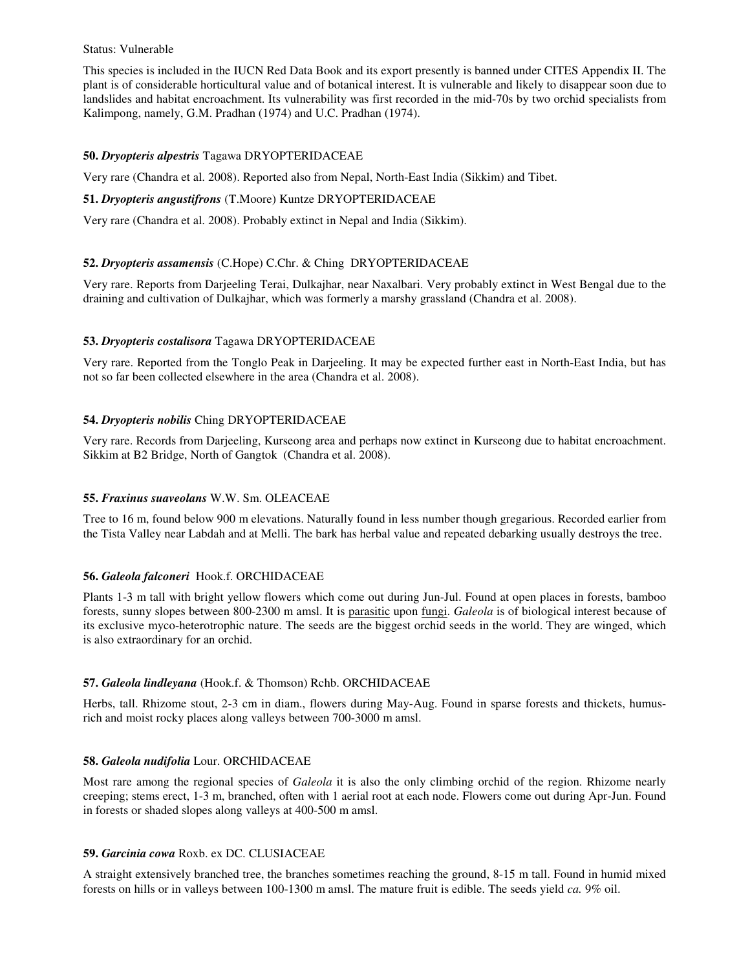#### Status: Vulnerable

This species is included in the IUCN Red Data Book and its export presently is banned under CITES Appendix II. The plant is of considerable horticultural value and of botanical interest. It is vulnerable and likely to disappear soon due to landslides and habitat encroachment. Its vulnerability was first recorded in the mid-70s by two orchid specialists from Kalimpong, namely, G.M. Pradhan (1974) and U.C. Pradhan (1974).

# **50.** *Dryopteris alpestris* Tagawa DRYOPTERIDACEAE

Very rare (Chandra et al. 2008). Reported also from Nepal, North-East India (Sikkim) and Tibet.

### **51.** *Dryopteris angustifrons* (T.Moore) Kuntze DRYOPTERIDACEAE

Very rare (Chandra et al. 2008). Probably extinct in Nepal and India (Sikkim).

# **52.** *Dryopteris assamensis* (C.Hope) C.Chr. & Ching DRYOPTERIDACEAE

Very rare. Reports from Darjeeling Terai, Dulkajhar, near Naxalbari. Very probably extinct in West Bengal due to the draining and cultivation of Dulkajhar, which was formerly a marshy grassland (Chandra et al. 2008).

# **53.** *Dryopteris costalisora* Tagawa DRYOPTERIDACEAE

Very rare. Reported from the Tonglo Peak in Darjeeling. It may be expected further east in North-East India, but has not so far been collected elsewhere in the area (Chandra et al. 2008).

# **54.** *Dryopteris nobilis* Ching DRYOPTERIDACEAE

Very rare. Records from Darjeeling, Kurseong area and perhaps now extinct in Kurseong due to habitat encroachment. Sikkim at B2 Bridge, North of Gangtok (Chandra et al. 2008).

# **55.** *Fraxinus suaveolans* W.W. Sm. OLEACEAE

Tree to 16 m, found below 900 m elevations. Naturally found in less number though gregarious. Recorded earlier from the Tista Valley near Labdah and at Melli. The bark has herbal value and repeated debarking usually destroys the tree.

# **56.** *Galeola falconeri* Hook.f. ORCHIDACEAE

Plants 1-3 m tall with bright yellow flowers which come out during Jun-Jul. Found at open places in forests, bamboo forests, sunny slopes between 800-2300 m amsl. It is parasitic upon fungi. *Galeola* is of biological interest because of its exclusive myco-heterotrophic nature. The seeds are the biggest orchid seeds in the world. They are winged, which is also extraordinary for an orchid.

# **57.** *Galeola lindleyana* (Hook.f. & Thomson) Rchb. ORCHIDACEAE

Herbs, tall. Rhizome stout, 2-3 cm in diam., flowers during May-Aug. Found in sparse forests and thickets, humusrich and moist rocky places along valleys between 700-3000 m amsl.

# **58.** *Galeola nudifolia* Lour. ORCHIDACEAE

Most rare among the regional species of *Galeola* it is also the only climbing orchid of the region. Rhizome nearly creeping; stems erect, 1-3 m, branched, often with 1 aerial root at each node. Flowers come out during Apr-Jun. Found in forests or shaded slopes along valleys at 400-500 m amsl.

# **59.** *Garcinia cowa* Roxb. ex DC. CLUSIACEAE

A straight extensively branched tree, the branches sometimes reaching the ground, 8-15 m tall. Found in humid mixed forests on hills or in valleys between 100-1300 m amsl. The mature fruit is edible. The seeds yield *ca.* 9% oil.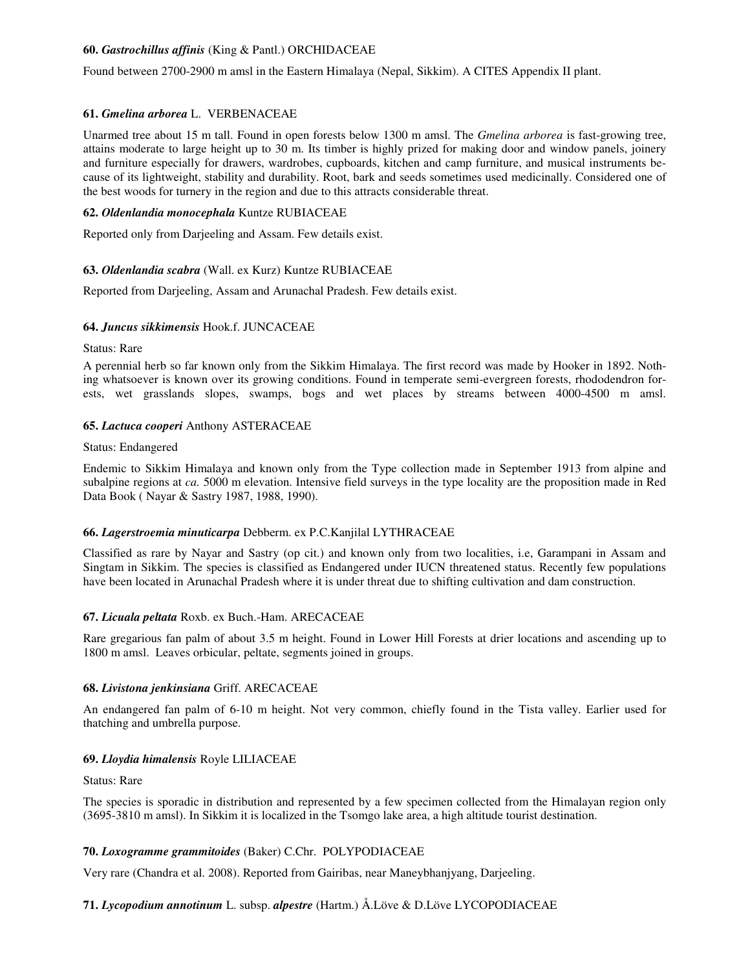# **60.** *Gastrochillus affinis* (King & Pantl.) ORCHIDACEAE

Found between 2700-2900 m amsl in the Eastern Himalaya (Nepal, Sikkim). A CITES Appendix II plant.

### **61.** *Gmelina arborea* L. VERBENACEAE

Unarmed tree about 15 m tall. Found in open forests below 1300 m amsl. The *Gmelina arborea* is fast-growing tree, attains moderate to large height up to 30 m. Its timber is highly prized for making door and window panels, joinery and furniture especially for drawers, wardrobes, cupboards, kitchen and camp furniture, and musical instruments because of its lightweight, stability and durability. Root, bark and seeds sometimes used medicinally. Considered one of the best woods for turnery in the region and due to this attracts considerable threat.

### **62.** *Oldenlandia monocephala* Kuntze RUBIACEAE

Reported only from Darjeeling and Assam. Few details exist.

### **63.** *Oldenlandia scabra* (Wall. ex Kurz) Kuntze RUBIACEAE

Reported from Darjeeling, Assam and Arunachal Pradesh. Few details exist.

### **64.** *Juncus sikkimensis* Hook.f. JUNCACEAE

#### Status: Rare

A perennial herb so far known only from the Sikkim Himalaya. The first record was made by Hooker in 1892. Nothing whatsoever is known over its growing conditions. Found in temperate semi-evergreen forests, rhododendron forests, wet grasslands slopes, swamps, bogs and wet places by streams between 4000-4500 m amsl.

### **65.** *Lactuca cooperi* Anthony ASTERACEAE

#### Status: Endangered

Endemic to Sikkim Himalaya and known only from the Type collection made in September 1913 from alpine and subalpine regions at *ca.* 5000 m elevation. Intensive field surveys in the type locality are the proposition made in Red Data Book ( Nayar & Sastry 1987, 1988, 1990).

# **66.** *Lagerstroemia minuticarpa* Debberm. ex P.C.Kanjilal LYTHRACEAE

Classified as rare by Nayar and Sastry (op cit.) and known only from two localities, i.e, Garampani in Assam and Singtam in Sikkim. The species is classified as Endangered under IUCN threatened status. Recently few populations have been located in Arunachal Pradesh where it is under threat due to shifting cultivation and dam construction.

#### **67.** *Licuala peltata* Roxb. ex Buch.-Ham. ARECACEAE

Rare gregarious fan palm of about 3.5 m height. Found in Lower Hill Forests at drier locations and ascending up to 1800 m amsl. Leaves orbicular, peltate, segments joined in groups.

#### **68.** *Livistona jenkinsiana* Griff. ARECACEAE

An endangered fan palm of 6-10 m height. Not very common, chiefly found in the Tista valley. Earlier used for thatching and umbrella purpose.

#### **69.** *Lloydia himalensis* Royle LILIACEAE

#### Status: Rare

The species is sporadic in distribution and represented by a few specimen collected from the Himalayan region only (3695-3810 m amsl). In Sikkim it is localized in the Tsomgo lake area, a high altitude tourist destination.

# **70.** *Loxogramme grammitoides* (Baker) C.Chr. POLYPODIACEAE

Very rare (Chandra et al. 2008). Reported from Gairibas, near Maneybhanjyang, Darjeeling.

# **71.** *Lycopodium annotinum* L. subsp. *alpestre* (Hartm.) Å.Löve & D.Löve LYCOPODIACEAE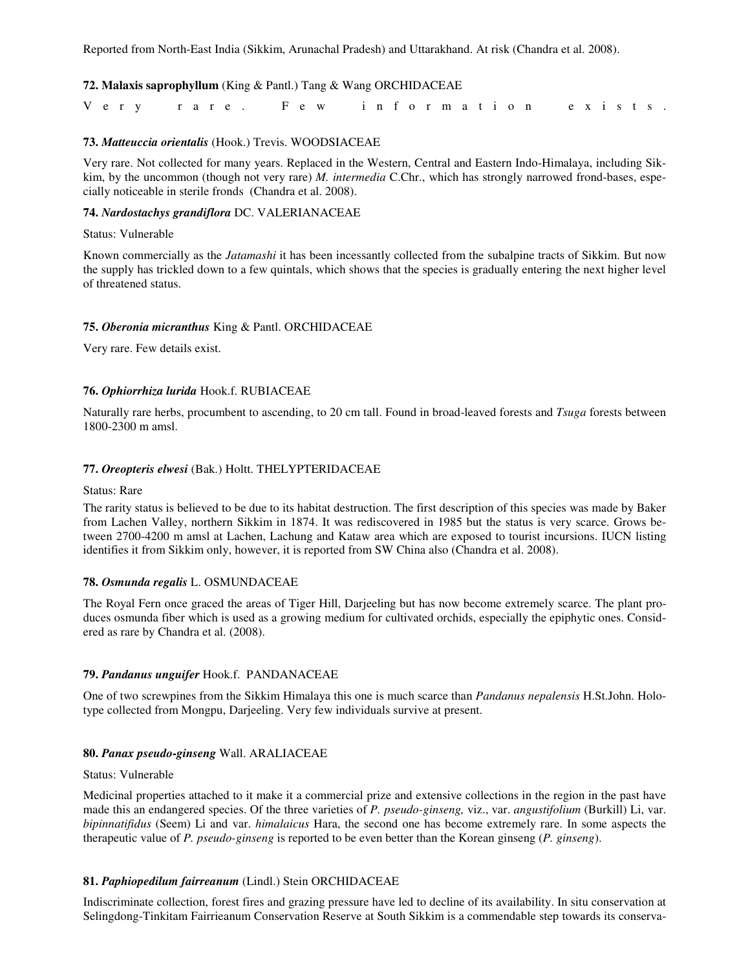Reported from North-East India (Sikkim, Arunachal Pradesh) and Uttarakhand. At risk (Chandra et al. 2008).

### **72. Malaxis saprophyllum** (King & Pantl.) Tang & Wang ORCHIDACEAE

| Very rare. Few information exists. |  |  |  |
|------------------------------------|--|--|--|
|------------------------------------|--|--|--|

### **73.** *Matteuccia orientalis* (Hook.) Trevis. WOODSIACEAE

Very rare. Not collected for many years. Replaced in the Western, Central and Eastern Indo-Himalaya, including Sikkim, by the uncommon (though not very rare) *M. intermedia* C.Chr., which has strongly narrowed frond-bases, especially noticeable in sterile fronds (Chandra et al. 2008).

#### **74.** *Nardostachys grandiflora* DC. VALERIANACEAE

#### Status: Vulnerable

Known commercially as the *Jatamashi* it has been incessantly collected from the subalpine tracts of Sikkim. But now the supply has trickled down to a few quintals, which shows that the species is gradually entering the next higher level of threatened status.

### **75.** *Oberonia micranthus* King & Pantl. ORCHIDACEAE

Very rare. Few details exist.

### **76.** *Ophiorrhiza lurida* Hook.f. RUBIACEAE

Naturally rare herbs, procumbent to ascending, to 20 cm tall. Found in broad-leaved forests and *Tsuga* forests between 1800-2300 m amsl.

#### **77.** *Oreopteris elwesi* (Bak.) Holtt. THELYPTERIDACEAE

#### Status: Rare

The rarity status is believed to be due to its habitat destruction. The first description of this species was made by Baker from Lachen Valley, northern Sikkim in 1874. It was rediscovered in 1985 but the status is very scarce. Grows between 2700-4200 m amsl at Lachen, Lachung and Kataw area which are exposed to tourist incursions. IUCN listing identifies it from Sikkim only, however, it is reported from SW China also (Chandra et al. 2008).

#### **78.** *Osmunda regalis* L. OSMUNDACEAE

The Royal Fern once graced the areas of Tiger Hill, Darjeeling but has now become extremely scarce. The plant produces osmunda fiber which is used as a growing medium for cultivated orchids, especially the epiphytic ones. Considered as rare by Chandra et al. (2008).

#### **79.** *Pandanus unguifer* Hook.f. PANDANACEAE

One of two screwpines from the Sikkim Himalaya this one is much scarce than *Pandanus nepalensis* H.St.John. Holotype collected from Mongpu, Darjeeling. Very few individuals survive at present.

### **80.** *Panax pseudo-ginseng* Wall. ARALIACEAE

#### Status: Vulnerable

Medicinal properties attached to it make it a commercial prize and extensive collections in the region in the past have made this an endangered species. Of the three varieties of *P. pseudo-ginseng,* viz., var. *angustifolium* (Burkill) Li, var. *bipinnatifidus* (Seem) Li and var. *himalaicus* Hara, the second one has become extremely rare. In some aspects the therapeutic value of *P. pseudo-ginseng* is reported to be even better than the Korean ginseng (*P. ginseng*).

### **81.** *Paphiopedilum fairreanum* (Lindl.) Stein ORCHIDACEAE

Indiscriminate collection, forest fires and grazing pressure have led to decline of its availability. In situ conservation at Selingdong-Tinkitam Fairrieanum Conservation Reserve at South Sikkim is a commendable step towards its conserva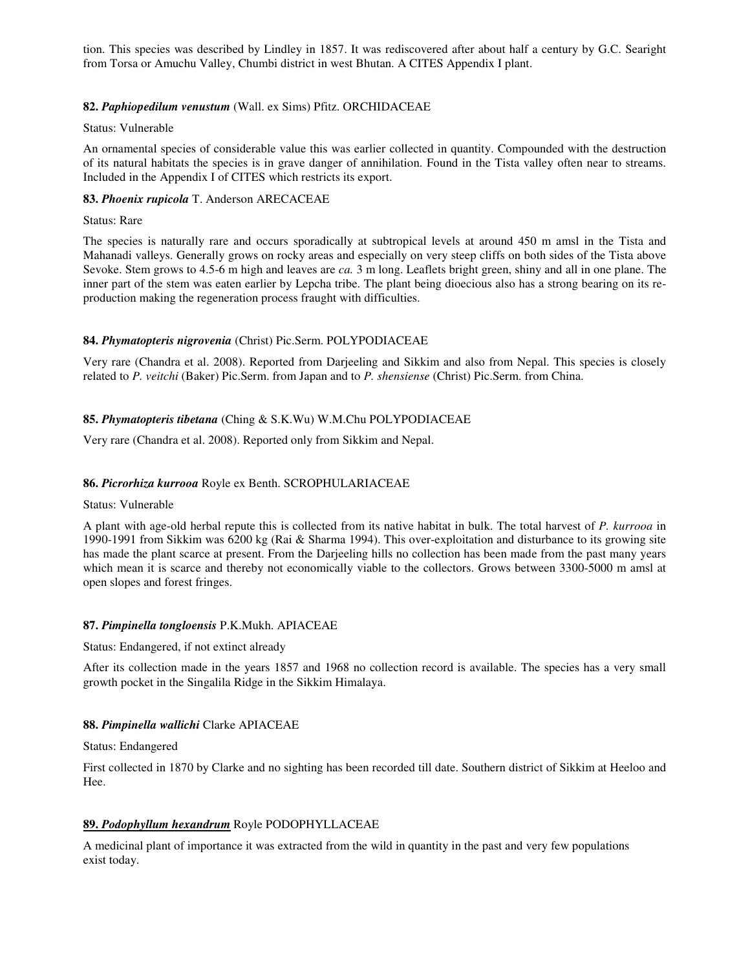tion. This species was described by Lindley in 1857. It was rediscovered after about half a century by G.C. Searight from Torsa or Amuchu Valley, Chumbi district in west Bhutan. A CITES Appendix I plant.

### **82.** *Paphiopedilum venustum* (Wall. ex Sims) Pfitz. ORCHIDACEAE

#### Status: Vulnerable

An ornamental species of considerable value this was earlier collected in quantity. Compounded with the destruction of its natural habitats the species is in grave danger of annihilation. Found in the Tista valley often near to streams. Included in the Appendix I of CITES which restricts its export.

### **83.** *Phoenix rupicola* T. Anderson ARECACEAE

Status: Rare

The species is naturally rare and occurs sporadically at subtropical levels at around 450 m amsl in the Tista and Mahanadi valleys. Generally grows on rocky areas and especially on very steep cliffs on both sides of the Tista above Sevoke. Stem grows to 4.5-6 m high and leaves are *ca.* 3 m long. Leaflets bright green, shiny and all in one plane. The inner part of the stem was eaten earlier by Lepcha tribe. The plant being dioecious also has a strong bearing on its reproduction making the regeneration process fraught with difficulties.

# **84.** *Phymatopteris nigrovenia* (Christ) Pic.Serm. POLYPODIACEAE

Very rare (Chandra et al. 2008). Reported from Darjeeling and Sikkim and also from Nepal. This species is closely related to *P. veitchi* (Baker) Pic.Serm. from Japan and to *P. shensiense* (Christ) Pic.Serm. from China.

### **85.** *Phymatopteris tibetana* (Ching & S.K.Wu) W.M.Chu POLYPODIACEAE

Very rare (Chandra et al. 2008). Reported only from Sikkim and Nepal.

### **86.** *Picrorhiza kurrooa* Royle ex Benth. SCROPHULARIACEAE

#### Status: Vulnerable

A plant with age-old herbal repute this is collected from its native habitat in bulk. The total harvest of *P. kurrooa* in 1990-1991 from Sikkim was 6200 kg (Rai & Sharma 1994). This over-exploitation and disturbance to its growing site has made the plant scarce at present. From the Darjeeling hills no collection has been made from the past many years which mean it is scarce and thereby not economically viable to the collectors. Grows between 3300-5000 m amsl at open slopes and forest fringes.

#### **87.** *Pimpinella tongloensis* P.K.Mukh. APIACEAE

Status: Endangered, if not extinct already

After its collection made in the years 1857 and 1968 no collection record is available. The species has a very small growth pocket in the Singalila Ridge in the Sikkim Himalaya.

#### **88.** *Pimpinella wallichi* Clarke APIACEAE

Status: Endangered

First collected in 1870 by Clarke and no sighting has been recorded till date. Southern district of Sikkim at Heeloo and Hee.

# **89.** *Podophyllum hexandrum* Royle PODOPHYLLACEAE

A medicinal plant of importance it was extracted from the wild in quantity in the past and very few populations exist today.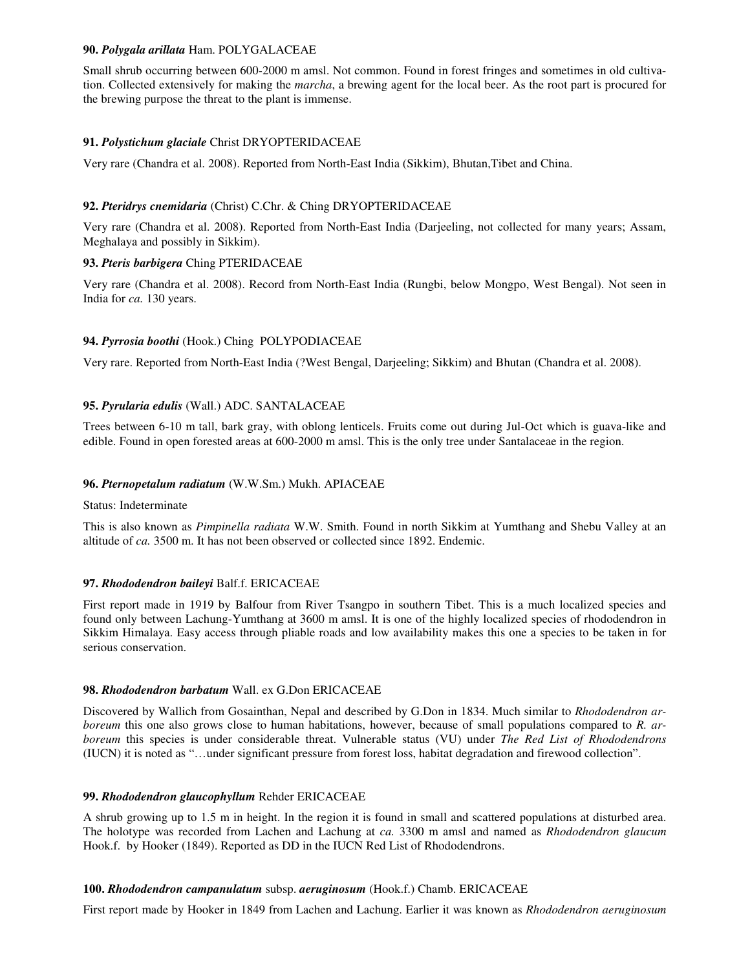### **90.** *Polygala arillata* Ham. POLYGALACEAE

Small shrub occurring between 600-2000 m amsl. Not common. Found in forest fringes and sometimes in old cultivation. Collected extensively for making the *marcha*, a brewing agent for the local beer. As the root part is procured for the brewing purpose the threat to the plant is immense.

# **91.** *Polystichum glaciale* Christ DRYOPTERIDACEAE

Very rare (Chandra et al. 2008). Reported from North-East India (Sikkim), Bhutan,Tibet and China.

# **92.** *Pteridrys cnemidaria* (Christ) C.Chr. & Ching DRYOPTERIDACEAE

Very rare (Chandra et al. 2008). Reported from North-East India (Darjeeling, not collected for many years; Assam, Meghalaya and possibly in Sikkim).

# **93.** *Pteris barbigera* Ching PTERIDACEAE

Very rare (Chandra et al. 2008). Record from North-East India (Rungbi, below Mongpo, West Bengal). Not seen in India for *ca.* 130 years.

# **94.** *Pyrrosia boothi* (Hook.) Ching POLYPODIACEAE

Very rare. Reported from North-East India (?West Bengal, Darjeeling; Sikkim) and Bhutan (Chandra et al. 2008).

# **95.** *Pyrularia edulis* (Wall.) ADC. SANTALACEAE

Trees between 6-10 m tall, bark gray, with oblong lenticels. Fruits come out during Jul-Oct which is guava-like and edible. Found in open forested areas at 600-2000 m amsl. This is the only tree under Santalaceae in the region.

# **96.** *Pternopetalum radiatum* (W.W.Sm.) Mukh. APIACEAE

Status: Indeterminate

This is also known as *Pimpinella radiata* W.W. Smith. Found in north Sikkim at Yumthang and Shebu Valley at an altitude of *ca.* 3500 m. It has not been observed or collected since 1892. Endemic.

# **97.** *Rhododendron baileyi* Balf.f. ERICACEAE

First report made in 1919 by Balfour from River Tsangpo in southern Tibet. This is a much localized species and found only between Lachung-Yumthang at 3600 m amsl. It is one of the highly localized species of rhododendron in Sikkim Himalaya. Easy access through pliable roads and low availability makes this one a species to be taken in for serious conservation.

# **98.** *Rhododendron barbatum* Wall. ex G.Don ERICACEAE

Discovered by Wallich from Gosainthan, Nepal and described by G.Don in 1834. Much similar to *Rhododendron arboreum* this one also grows close to human habitations, however, because of small populations compared to *R. arboreum* this species is under considerable threat. Vulnerable status (VU) under *The Red List of Rhododendrons* (IUCN) it is noted as "…under significant pressure from forest loss, habitat degradation and firewood collection".

# **99.** *Rhododendron glaucophyllum* Rehder ERICACEAE

A shrub growing up to 1.5 m in height. In the region it is found in small and scattered populations at disturbed area. The holotype was recorded from Lachen and Lachung at *ca.* 3300 m amsl and named as *Rhododendron glaucum* Hook.f. by Hooker (1849). Reported as DD in the IUCN Red List of Rhododendrons.

# **100.** *Rhododendron campanulatum* subsp. *aeruginosum* (Hook.f.) Chamb. ERICACEAE

First report made by Hooker in 1849 from Lachen and Lachung. Earlier it was known as *Rhododendron aeruginosum*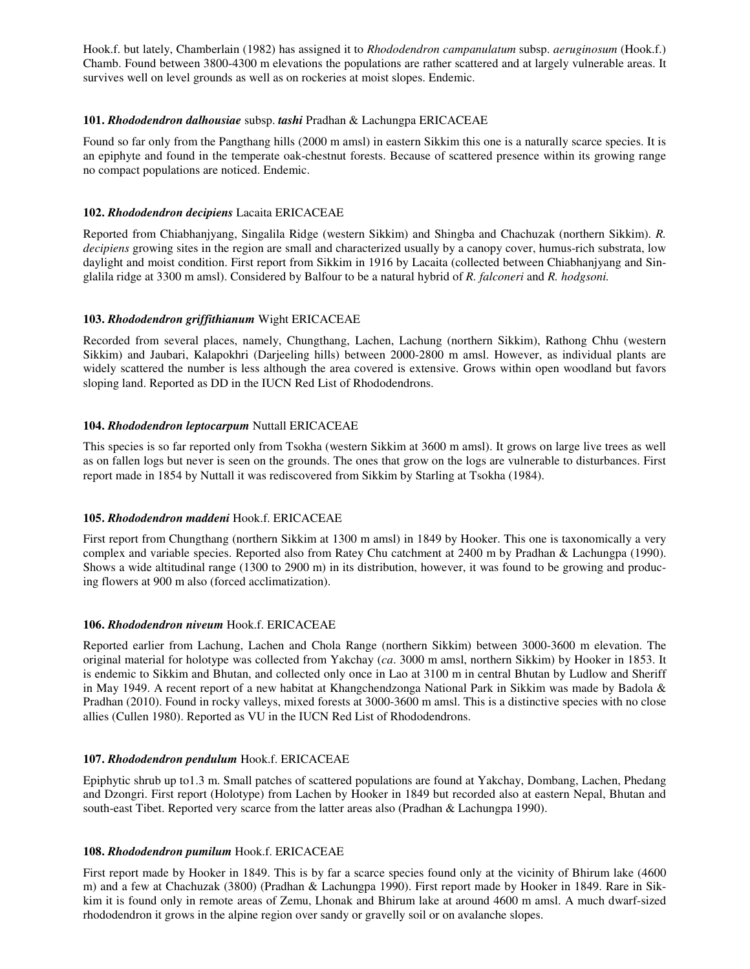Hook.f. but lately, Chamberlain (1982) has assigned it to *Rhododendron campanulatum* subsp. *aeruginosum* (Hook.f.) Chamb. Found between 3800-4300 m elevations the populations are rather scattered and at largely vulnerable areas. It survives well on level grounds as well as on rockeries at moist slopes. Endemic.

# **101.** *Rhododendron dalhousiae* subsp. *tashi* Pradhan & Lachungpa ERICACEAE

Found so far only from the Pangthang hills (2000 m amsl) in eastern Sikkim this one is a naturally scarce species. It is an epiphyte and found in the temperate oak-chestnut forests. Because of scattered presence within its growing range no compact populations are noticed. Endemic.

# **102.** *Rhododendron decipiens* Lacaita ERICACEAE

Reported from Chiabhanjyang, Singalila Ridge (western Sikkim) and Shingba and Chachuzak (northern Sikkim). *R. decipiens* growing sites in the region are small and characterized usually by a canopy cover, humus-rich substrata, low daylight and moist condition. First report from Sikkim in 1916 by Lacaita (collected between Chiabhanjyang and Singlalila ridge at 3300 m amsl). Considered by Balfour to be a natural hybrid of *R. falconeri* and *R. hodgsoni.*

### **103.** *Rhododendron griffithianum* Wight ERICACEAE

Recorded from several places, namely, Chungthang, Lachen, Lachung (northern Sikkim), Rathong Chhu (western Sikkim) and Jaubari, Kalapokhri (Darjeeling hills) between 2000-2800 m amsl. However, as individual plants are widely scattered the number is less although the area covered is extensive. Grows within open woodland but favors sloping land. Reported as DD in the IUCN Red List of Rhododendrons.

### **104.** *Rhododendron leptocarpum* Nuttall ERICACEAE

This species is so far reported only from Tsokha (western Sikkim at 3600 m amsl). It grows on large live trees as well as on fallen logs but never is seen on the grounds. The ones that grow on the logs are vulnerable to disturbances. First report made in 1854 by Nuttall it was rediscovered from Sikkim by Starling at Tsokha (1984).

# **105.** *Rhododendron maddeni* Hook.f. ERICACEAE

First report from Chungthang (northern Sikkim at 1300 m amsl) in 1849 by Hooker. This one is taxonomically a very complex and variable species. Reported also from Ratey Chu catchment at 2400 m by Pradhan & Lachungpa (1990). Shows a wide altitudinal range (1300 to 2900 m) in its distribution, however, it was found to be growing and producing flowers at 900 m also (forced acclimatization).

#### **106.** *Rhododendron niveum* Hook.f. ERICACEAE

Reported earlier from Lachung, Lachen and Chola Range (northern Sikkim) between 3000-3600 m elevation. The original material for holotype was collected from Yakchay (*ca*. 3000 m amsl, northern Sikkim) by Hooker in 1853. It is endemic to Sikkim and Bhutan, and collected only once in Lao at 3100 m in central Bhutan by Ludlow and Sheriff in May 1949. A recent report of a new habitat at Khangchendzonga National Park in Sikkim was made by Badola & Pradhan (2010). Found in rocky valleys, mixed forests at 3000-3600 m amsl. This is a distinctive species with no close allies (Cullen 1980). Reported as VU in the IUCN Red List of Rhododendrons.

### **107.** *Rhododendron pendulum* Hook.f. ERICACEAE

Epiphytic shrub up to1.3 m. Small patches of scattered populations are found at Yakchay, Dombang, Lachen, Phedang and Dzongri. First report (Holotype) from Lachen by Hooker in 1849 but recorded also at eastern Nepal, Bhutan and south-east Tibet. Reported very scarce from the latter areas also (Pradhan & Lachungpa 1990).

# **108.** *Rhododendron pumilum* Hook.f. ERICACEAE

First report made by Hooker in 1849. This is by far a scarce species found only at the vicinity of Bhirum lake (4600 m) and a few at Chachuzak (3800) (Pradhan & Lachungpa 1990). First report made by Hooker in 1849. Rare in Sikkim it is found only in remote areas of Zemu, Lhonak and Bhirum lake at around 4600 m amsl. A much dwarf-sized rhododendron it grows in the alpine region over sandy or gravelly soil or on avalanche slopes.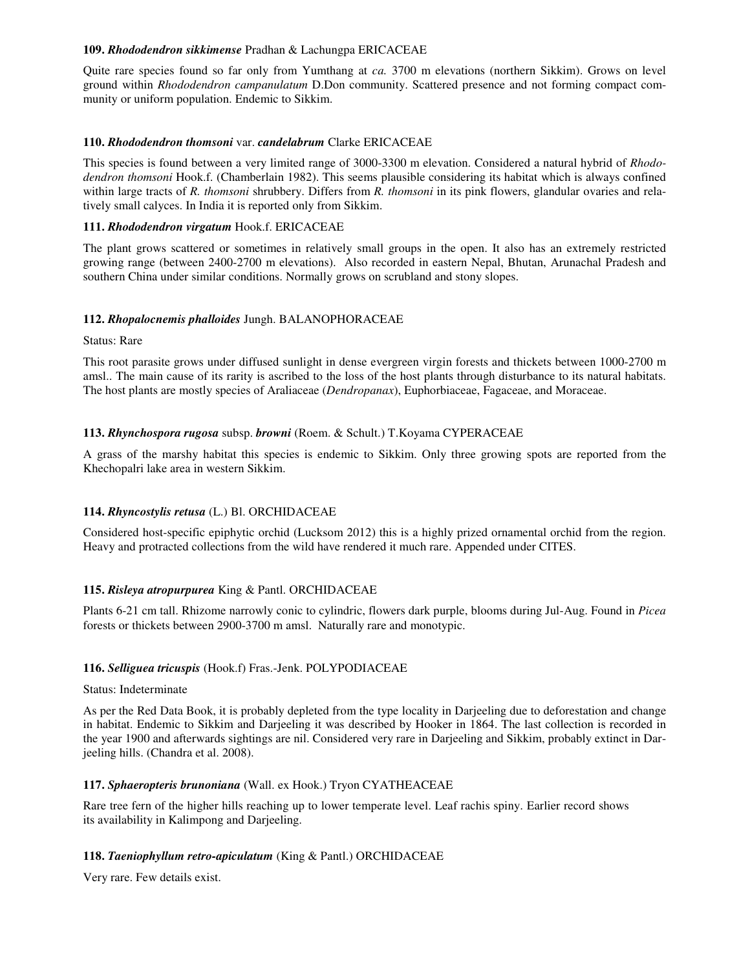### **109.** *Rhododendron sikkimense* Pradhan & Lachungpa ERICACEAE

Quite rare species found so far only from Yumthang at *ca.* 3700 m elevations (northern Sikkim). Grows on level ground within *Rhododendron campanulatum* D.Don community. Scattered presence and not forming compact community or uniform population. Endemic to Sikkim.

### **110.** *Rhododendron thomsoni* var. *candelabrum* Clarke ERICACEAE

This species is found between a very limited range of 3000-3300 m elevation. Considered a natural hybrid of *Rhododendron thomsoni* Hook.f. (Chamberlain 1982). This seems plausible considering its habitat which is always confined within large tracts of *R. thomsoni* shrubbery. Differs from *R. thomsoni* in its pink flowers, glandular ovaries and relatively small calyces. In India it is reported only from Sikkim.

### **111.** *Rhododendron virgatum* Hook.f. ERICACEAE

The plant grows scattered or sometimes in relatively small groups in the open. It also has an extremely restricted growing range (between 2400-2700 m elevations). Also recorded in eastern Nepal, Bhutan, Arunachal Pradesh and southern China under similar conditions. Normally grows on scrubland and stony slopes.

### **112.** *Rhopalocnemis phalloides* Jungh. BALANOPHORACEAE

Status: Rare

This root parasite grows under diffused sunlight in dense evergreen virgin forests and thickets between 1000-2700 m amsl.. The main cause of its rarity is ascribed to the loss of the host plants through disturbance to its natural habitats. The host plants are mostly species of Araliaceae (*Dendropanax*), Euphorbiaceae, Fagaceae, and Moraceae.

### **113.** *Rhynchospora rugosa* subsp. *browni* (Roem. & Schult.) T.Koyama CYPERACEAE

A grass of the marshy habitat this species is endemic to Sikkim. Only three growing spots are reported from the Khechopalri lake area in western Sikkim.

# **114.** *Rhyncostylis retusa* (L.) Bl. ORCHIDACEAE

Considered host-specific epiphytic orchid (Lucksom 2012) this is a highly prized ornamental orchid from the region. Heavy and protracted collections from the wild have rendered it much rare. Appended under CITES.

# **115.** *Risleya atropurpurea* King & Pantl. ORCHIDACEAE

Plants 6-21 cm tall. Rhizome narrowly conic to cylindric, flowers dark purple, blooms during Jul-Aug. Found in *Picea* forests or thickets between 2900-3700 m amsl. Naturally rare and monotypic.

# **116.** *Selliguea tricuspis* (Hook.f) Fras.-Jenk. POLYPODIACEAE

Status: Indeterminate

As per the Red Data Book, it is probably depleted from the type locality in Darjeeling due to deforestation and change in habitat. Endemic to Sikkim and Darjeeling it was described by Hooker in 1864. The last collection is recorded in the year 1900 and afterwards sightings are nil. Considered very rare in Darjeeling and Sikkim, probably extinct in Darjeeling hills. (Chandra et al. 2008).

#### **117.** *Sphaeropteris brunoniana* (Wall. ex Hook.) Tryon CYATHEACEAE

Rare tree fern of the higher hills reaching up to lower temperate level. Leaf rachis spiny. Earlier record shows its availability in Kalimpong and Darjeeling.

#### **118.** *Taeniophyllum retro-apiculatum* (King & Pantl.) ORCHIDACEAE

Very rare. Few details exist.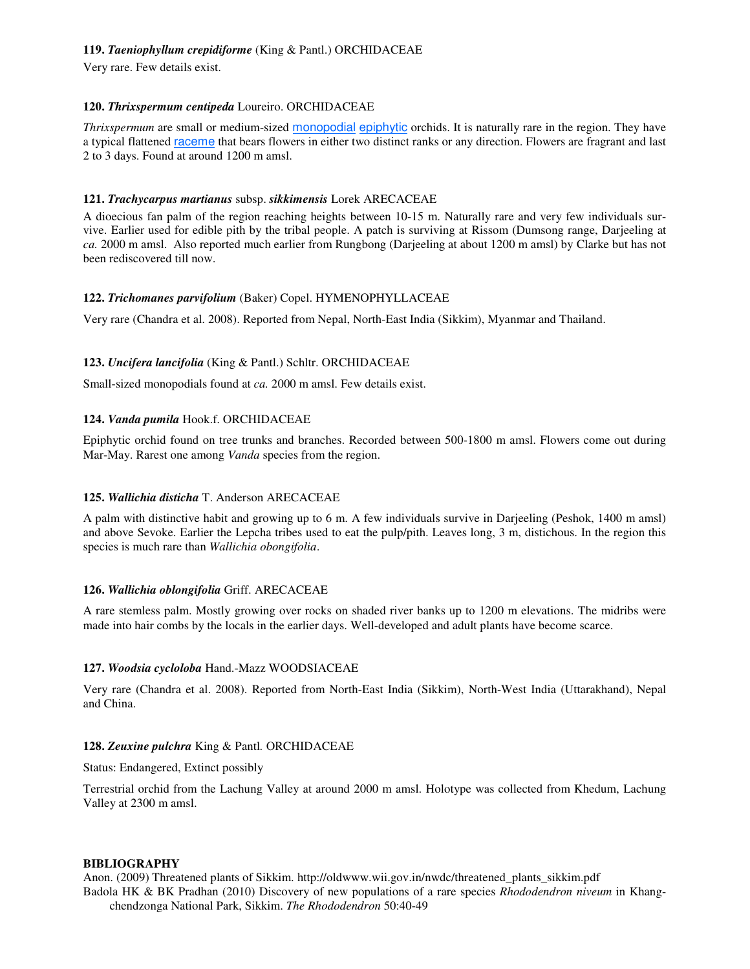# **119.** *Taeniophyllum crepidiforme* (King & Pantl.) ORCHIDACEAE

Very rare. Few details exist.

### **120.** *Thrixspermum centipeda* Loureiro. ORCHIDACEAE

*Thrixspermum* are small or medium-sized monopodial epiphytic orchids. It is naturally rare in the region. They have a typical flattened raceme that bears flowers in either two distinct ranks or any direction. Flowers are fragrant and last 2 to 3 days. Found at around 1200 m amsl.

# **121.** *Trachycarpus martianus* subsp. *sikkimensis* Lorek ARECACEAE

A dioecious fan palm of the region reaching heights between 10-15 m. Naturally rare and very few individuals survive. Earlier used for edible pith by the tribal people. A patch is surviving at Rissom (Dumsong range, Darjeeling at *ca.* 2000 m amsl. Also reported much earlier from Rungbong (Darjeeling at about 1200 m amsl) by Clarke but has not been rediscovered till now.

# **122.** *Trichomanes parvifolium* (Baker) Copel. HYMENOPHYLLACEAE

Very rare (Chandra et al. 2008). Reported from Nepal, North-East India (Sikkim), Myanmar and Thailand.

# **123.** *Uncifera lancifolia* (King & Pantl.) Schltr. ORCHIDACEAE

Small-sized monopodials found at *ca.* 2000 m amsl. Few details exist.

# **124.** *Vanda pumila* Hook.f. ORCHIDACEAE

Epiphytic orchid found on tree trunks and branches. Recorded between 500-1800 m amsl. Flowers come out during Mar-May. Rarest one among *Vanda* species from the region.

# **125.** *Wallichia disticha* T. Anderson ARECACEAE

A palm with distinctive habit and growing up to 6 m. A few individuals survive in Darjeeling (Peshok, 1400 m amsl) and above Sevoke. Earlier the Lepcha tribes used to eat the pulp/pith. Leaves long, 3 m, distichous. In the region this species is much rare than *Wallichia obongifolia*.

# **126.** *Wallichia oblongifolia* Griff. ARECACEAE

A rare stemless palm. Mostly growing over rocks on shaded river banks up to 1200 m elevations. The midribs were made into hair combs by the locals in the earlier days. Well-developed and adult plants have become scarce.

# **127.** *Woodsia cycloloba* Hand.-Mazz WOODSIACEAE

Very rare (Chandra et al. 2008). Reported from North-East India (Sikkim), North-West India (Uttarakhand), Nepal and China.

# **128.** *Zeuxine pulchra* King & Pantl*.* ORCHIDACEAE

Status: Endangered, Extinct possibly

Terrestrial orchid from the Lachung Valley at around 2000 m amsl. Holotype was collected from Khedum, Lachung Valley at 2300 m amsl.

# **BIBLIOGRAPHY**

Anon. (2009) Threatened plants of Sikkim. http://oldwww.wii.gov.in/nwdc/threatened\_plants\_sikkim.pdf Badola HK & BK Pradhan (2010) Discovery of new populations of a rare species *Rhododendron niveum* in Khangchendzonga National Park, Sikkim. *The Rhododendron* 50:40-49